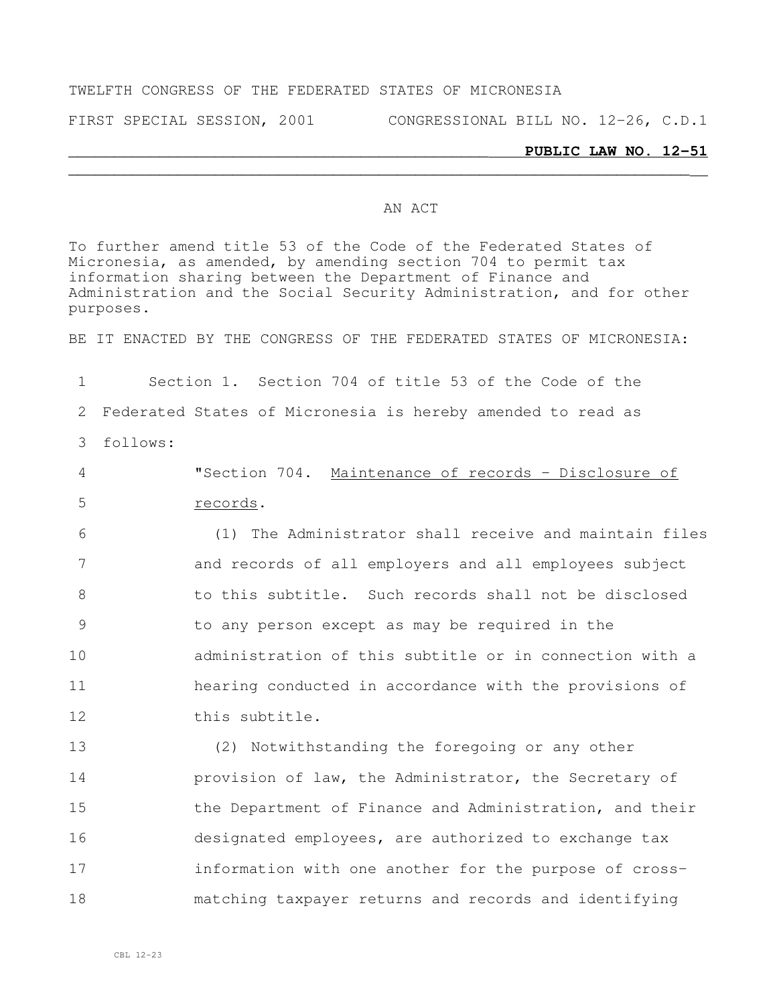### TWELFTH CONGRESS OF THE FEDERATED STATES OF MICRONESIA

FIRST SPECIAL SESSION, 2001 CONGRESSIONAL BILL NO. 12-26, C.D.1

#### \_\_\_\_\_\_\_\_\_\_\_\_\_\_\_\_\_\_\_\_\_\_\_\_\_\_\_\_\_\_\_\_\_\_\_\_\_\_\_\_\_\_\_\_\_\_ **PUBLIC LAW NO. 12-51**

### AN ACT

To further amend title 53 of the Code of the Federated States of Micronesia, as amended, by amending section 704 to permit tax information sharing between the Department of Finance and Administration and the Social Security Administration, and for other purposes.

 $\overline{\phantom{a}}$  , and the contribution of the contribution of the contribution of the contribution of the contribution of the contribution of the contribution of the contribution of the contribution of the contribution of the

BE IT ENACTED BY THE CONGRESS OF THE FEDERATED STATES OF MICRONESIA:

1 Section 1. Section 704 of title 53 of the Code of the 2 Federated States of Micronesia is hereby amended to read as 3 follows:

4 "Section 704. Maintenance of records – Disclosure of 5 records.

 (1) The Administrator shall receive and maintain files and records of all employers and all employees subject to this subtitle. Such records shall not be disclosed to any person except as may be required in the administration of this subtitle or in connection with a hearing conducted in accordance with the provisions of 12 this subtitle.

 (2) Notwithstanding the foregoing or any other **provision of law, the Administrator, the Secretary of the Department of Finance and Administration, and their**  designated employees, are authorized to exchange tax information with one another for the purpose of cross-matching taxpayer returns and records and identifying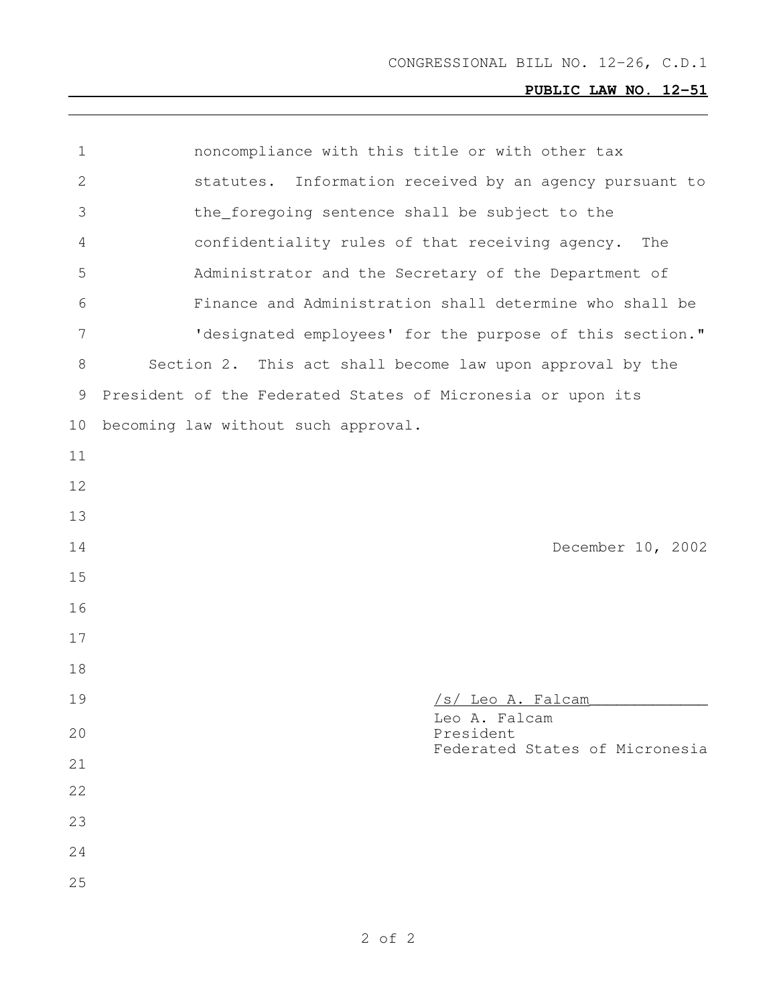# **PUBLIC LAW NO. 12-51**

| $\mathbf 1$  | noncompliance with this title or with other tax             |
|--------------|-------------------------------------------------------------|
| $\mathbf{2}$ | statutes. Information received by an agency pursuant to     |
| 3            | the_foregoing sentence shall be subject to the              |
| 4            | confidentiality rules of that receiving agency.<br>The      |
| 5            | Administrator and the Secretary of the Department of        |
| 6            | Finance and Administration shall determine who shall be     |
| 7            | 'designated employees' for the purpose of this section."    |
| 8            | Section 2. This act shall become law upon approval by the   |
| 9            | President of the Federated States of Micronesia or upon its |
| 10           | becoming law without such approval.                         |
| 11           |                                                             |
| 12           |                                                             |
|              |                                                             |
| 13           |                                                             |
| 14           | December 10, 2002                                           |
| 15           |                                                             |
| 16           |                                                             |
| 17           |                                                             |
| 18           |                                                             |
| 19           | /s/ Leo A. Falcam                                           |
| 20           | Leo A. Falcam<br>President                                  |
| 21           | Federated States of Micronesia                              |
| 22           |                                                             |
| 23           |                                                             |
| 24           |                                                             |